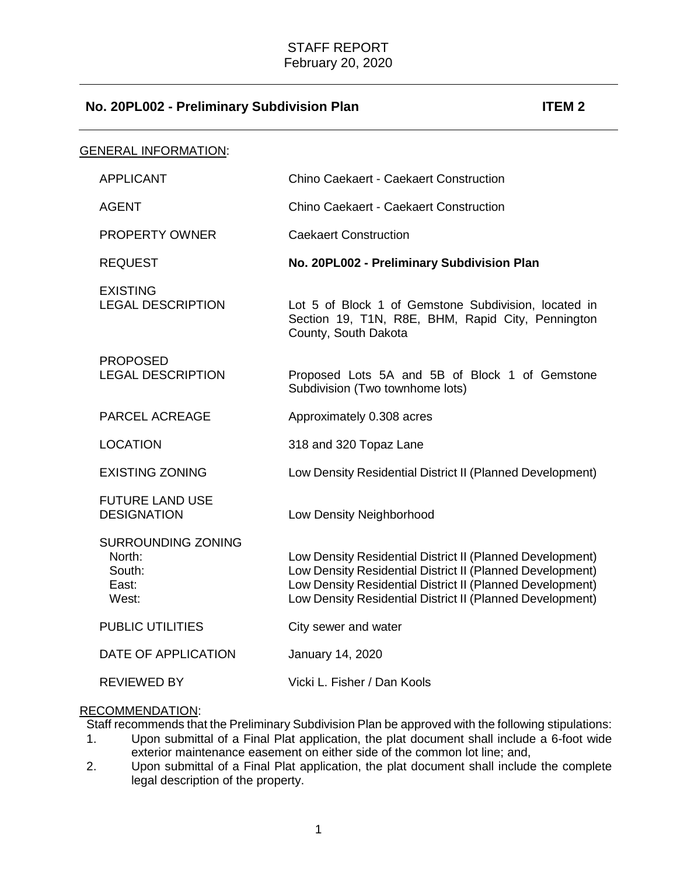# **No. 20PL002 - Preliminary Subdivision Plan ITEM 2**

| <b>GENERAL INFORMATION:</b> |                                                          |                                                                                                                                                                                                                                                  |
|-----------------------------|----------------------------------------------------------|--------------------------------------------------------------------------------------------------------------------------------------------------------------------------------------------------------------------------------------------------|
|                             | <b>APPLICANT</b>                                         | <b>Chino Caekaert - Caekaert Construction</b>                                                                                                                                                                                                    |
|                             | <b>AGENT</b>                                             | <b>Chino Caekaert - Caekaert Construction</b>                                                                                                                                                                                                    |
|                             | <b>PROPERTY OWNER</b>                                    | <b>Caekaert Construction</b>                                                                                                                                                                                                                     |
|                             | <b>REQUEST</b>                                           | No. 20PL002 - Preliminary Subdivision Plan                                                                                                                                                                                                       |
|                             | <b>EXISTING</b><br><b>LEGAL DESCRIPTION</b>              | Lot 5 of Block 1 of Gemstone Subdivision, located in<br>Section 19, T1N, R8E, BHM, Rapid City, Pennington<br>County, South Dakota                                                                                                                |
|                             | <b>PROPOSED</b><br><b>LEGAL DESCRIPTION</b>              | Proposed Lots 5A and 5B of Block 1 of Gemstone<br>Subdivision (Two townhome lots)                                                                                                                                                                |
|                             | PARCEL ACREAGE                                           | Approximately 0.308 acres                                                                                                                                                                                                                        |
|                             | <b>LOCATION</b>                                          | 318 and 320 Topaz Lane                                                                                                                                                                                                                           |
|                             | <b>EXISTING ZONING</b>                                   | Low Density Residential District II (Planned Development)                                                                                                                                                                                        |
|                             | <b>FUTURE LAND USE</b><br><b>DESIGNATION</b>             | Low Density Neighborhood                                                                                                                                                                                                                         |
|                             | SURROUNDING ZONING<br>North:<br>South:<br>East:<br>West: | Low Density Residential District II (Planned Development)<br>Low Density Residential District II (Planned Development)<br>Low Density Residential District II (Planned Development)<br>Low Density Residential District II (Planned Development) |
|                             | <b>PUBLIC UTILITIES</b>                                  | City sewer and water                                                                                                                                                                                                                             |
|                             | DATE OF APPLICATION                                      | January 14, 2020                                                                                                                                                                                                                                 |
|                             | REVIEWED BY                                              | Vicki L. Fisher / Dan Kools                                                                                                                                                                                                                      |

### RECOMMENDATION:

Staff recommends that the Preliminary Subdivision Plan be approved with the following stipulations:

- 1. Upon submittal of a Final Plat application, the plat document shall include a 6-foot wide exterior maintenance easement on either side of the common lot line; and,
- 2. Upon submittal of a Final Plat application, the plat document shall include the complete legal description of the property.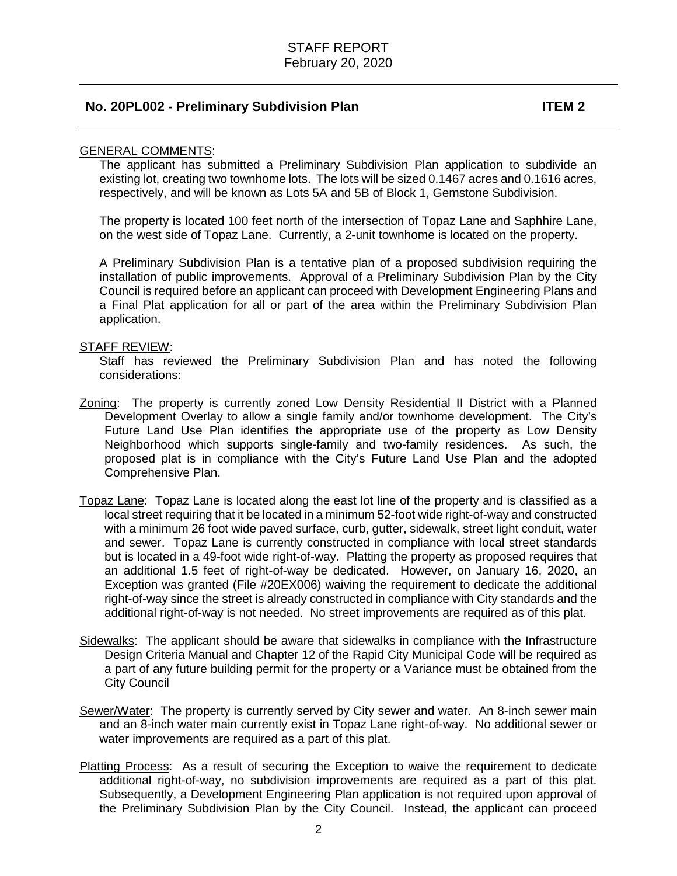### **No. 20PL002 - Preliminary Subdivision Plan ITEM 2**

#### GENERAL COMMENTS:

The applicant has submitted a Preliminary Subdivision Plan application to subdivide an existing lot, creating two townhome lots. The lots will be sized 0.1467 acres and 0.1616 acres, respectively, and will be known as Lots 5A and 5B of Block 1, Gemstone Subdivision.

The property is located 100 feet north of the intersection of Topaz Lane and Saphhire Lane, on the west side of Topaz Lane. Currently, a 2-unit townhome is located on the property.

A Preliminary Subdivision Plan is a tentative plan of a proposed subdivision requiring the installation of public improvements. Approval of a Preliminary Subdivision Plan by the City Council is required before an applicant can proceed with Development Engineering Plans and a Final Plat application for all or part of the area within the Preliminary Subdivision Plan application.

#### STAFF REVIEW:

Staff has reviewed the Preliminary Subdivision Plan and has noted the following considerations:

- Zoning: The property is currently zoned Low Density Residential II District with a Planned Development Overlay to allow a single family and/or townhome development. The City's Future Land Use Plan identifies the appropriate use of the property as Low Density Neighborhood which supports single-family and two-family residences. As such, the proposed plat is in compliance with the City's Future Land Use Plan and the adopted Comprehensive Plan.
- Topaz Lane: Topaz Lane is located along the east lot line of the property and is classified as a local street requiring that it be located in a minimum 52-foot wide right-of-way and constructed with a minimum 26 foot wide paved surface, curb, gutter, sidewalk, street light conduit, water and sewer. Topaz Lane is currently constructed in compliance with local street standards but is located in a 49-foot wide right-of-way. Platting the property as proposed requires that an additional 1.5 feet of right-of-way be dedicated. However, on January 16, 2020, an Exception was granted (File #20EX006) waiving the requirement to dedicate the additional right-of-way since the street is already constructed in compliance with City standards and the additional right-of-way is not needed. No street improvements are required as of this plat.
- Sidewalks: The applicant should be aware that sidewalks in compliance with the Infrastructure Design Criteria Manual and Chapter 12 of the Rapid City Municipal Code will be required as a part of any future building permit for the property or a Variance must be obtained from the City Council
- Sewer/Water: The property is currently served by City sewer and water. An 8-inch sewer main and an 8-inch water main currently exist in Topaz Lane right-of-way. No additional sewer or water improvements are required as a part of this plat.
- Platting Process: As a result of securing the Exception to waive the requirement to dedicate additional right-of-way, no subdivision improvements are required as a part of this plat. Subsequently, a Development Engineering Plan application is not required upon approval of the Preliminary Subdivision Plan by the City Council. Instead, the applicant can proceed